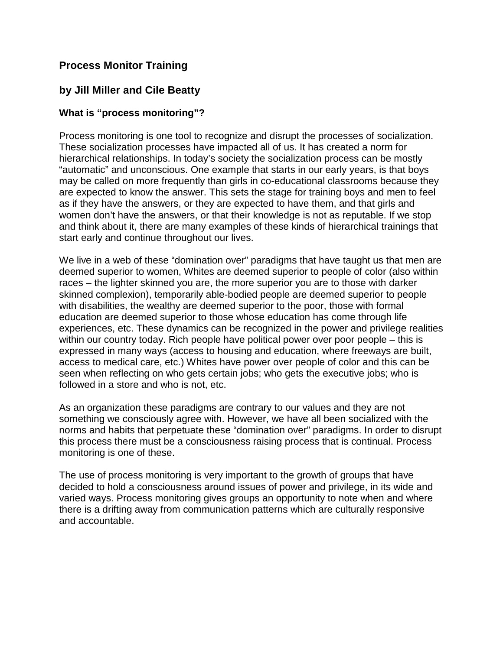### **Process Monitor Training**

### **by Jill Miller and Cile Beatty**

### **What is "process monitoring"?**

Process monitoring is one tool to recognize and disrupt the processes of socialization. These socialization processes have impacted all of us. It has created a norm for hierarchical relationships. In today's society the socialization process can be mostly "automatic" and unconscious. One example that starts in our early years, is that boys may be called on more frequently than girls in co-educational classrooms because they are expected to know the answer. This sets the stage for training boys and men to feel as if they have the answers, or they are expected to have them, and that girls and women don't have the answers, or that their knowledge is not as reputable. If we stop and think about it, there are many examples of these kinds of hierarchical trainings that start early and continue throughout our lives.

We live in a web of these "domination over" paradigms that have taught us that men are deemed superior to women, Whites are deemed superior to people of color (also within races – the lighter skinned you are, the more superior you are to those with darker skinned complexion), temporarily able-bodied people are deemed superior to people with disabilities, the wealthy are deemed superior to the poor, those with formal education are deemed superior to those whose education has come through life experiences, etc. These dynamics can be recognized in the power and privilege realities within our country today. Rich people have political power over poor people – this is expressed in many ways (access to housing and education, where freeways are built, access to medical care, etc.) Whites have power over people of color and this can be seen when reflecting on who gets certain jobs; who gets the executive jobs; who is followed in a store and who is not, etc.

As an organization these paradigms are contrary to our values and they are not something we consciously agree with. However, we have all been socialized with the norms and habits that perpetuate these "domination over" paradigms. In order to disrupt this process there must be a consciousness raising process that is continual. Process monitoring is one of these.

The use of process monitoring is very important to the growth of groups that have decided to hold a consciousness around issues of power and privilege, in its wide and varied ways. Process monitoring gives groups an opportunity to note when and where there is a drifting away from communication patterns which are culturally responsive and accountable.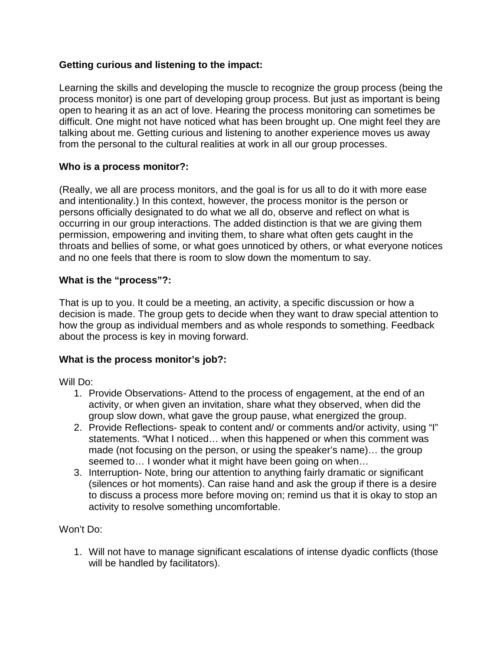### **Getting curious and listening to the impact:**

Learning the skills and developing the muscle to recognize the group process (being the process monitor) is one part of developing group process. But just as important is being open to hearing it as an act of love. Hearing the process monitoring can sometimes be difficult. One might not have noticed what has been brought up. One might feel they are talking about me. Getting curious and listening to another experience moves us away from the personal to the cultural realities at work in all our group processes.

### **Who is a process monitor?:**

(Really, we all are process monitors, and the goal is for us all to do it with more ease and intentionality.) In this context, however, the process monitor is the person or persons officially designated to do what we all do, observe and reflect on what is occurring in our group interactions. The added distinction is that we are giving them permission, empowering and inviting them, to share what often gets caught in the throats and bellies of some, or what goes unnoticed by others, or what everyone notices and no one feels that there is room to slow down the momentum to say.

### **What is the "process"?:**

That is up to you. It could be a meeting, an activity, a specific discussion or how a decision is made. The group gets to decide when they want to draw special attention to how the group as individual members and as whole responds to something. Feedback about the process is key in moving forward.

### **What is the process monitor's job?:**

Will Do:

- 1. Provide Observations- Attend to the process of engagement, at the end of an activity, or when given an invitation, share what they observed, when did the group slow down, what gave the group pause, what energized the group.
- 2. Provide Reflections- speak to content and/ or comments and/or activity, using "I" statements. "What I noticed… when this happened or when this comment was made (not focusing on the person, or using the speaker's name)… the group seemed to… I wonder what it might have been going on when…
- 3. Interruption- Note, bring our attention to anything fairly dramatic or significant (silences or hot moments). Can raise hand and ask the group if there is a desire to discuss a process more before moving on; remind us that it is okay to stop an activity to resolve something uncomfortable.

Won't Do:

1. Will not have to manage significant escalations of intense dyadic conflicts (those will be handled by facilitators).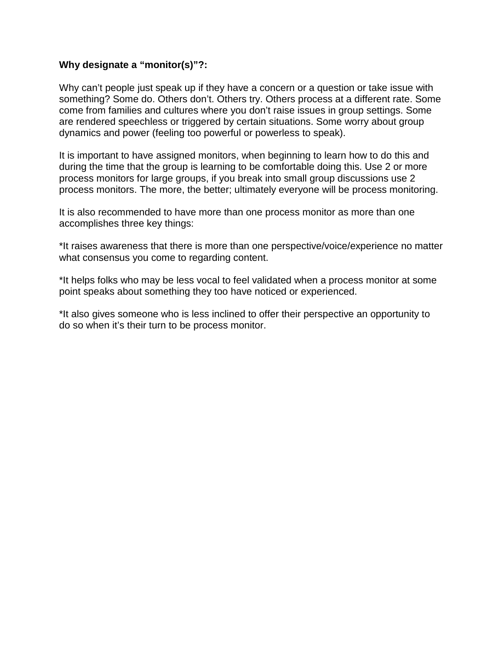### **Why designate a "monitor(s)"?:**

Why can't people just speak up if they have a concern or a question or take issue with something? Some do. Others don't. Others try. Others process at a different rate. Some come from families and cultures where you don't raise issues in group settings. Some are rendered speechless or triggered by certain situations. Some worry about group dynamics and power (feeling too powerful or powerless to speak).

It is important to have assigned monitors, when beginning to learn how to do this and during the time that the group is learning to be comfortable doing this. Use 2 or more process monitors for large groups, if you break into small group discussions use 2 process monitors. The more, the better; ultimately everyone will be process monitoring.

It is also recommended to have more than one process monitor as more than one accomplishes three key things:

\*It raises awareness that there is more than one perspective/voice/experience no matter what consensus you come to regarding content.

\*It helps folks who may be less vocal to feel validated when a process monitor at some point speaks about something they too have noticed or experienced.

\*It also gives someone who is less inclined to offer their perspective an opportunity to do so when it's their turn to be process monitor.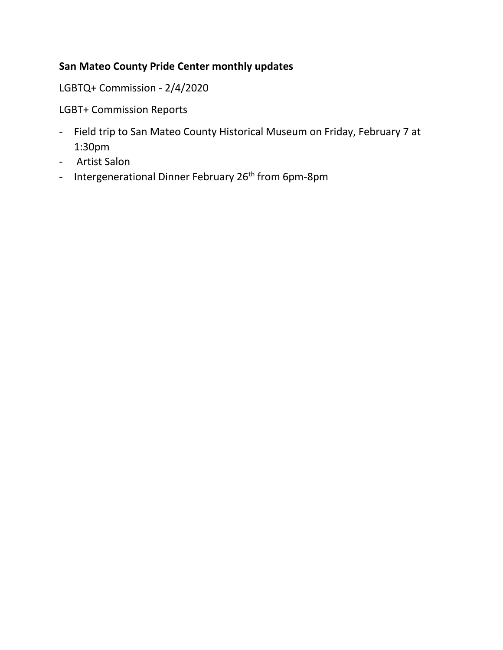### **San Mateo County Pride Center monthly updates**

LGBTQ+ Commission - 2/4/2020

LGBT+ Commission Reports

- Field trip to San Mateo County Historical Museum on Friday, February 7 at 1:30pm
- Artist Salon
- Intergenerational Dinner February 26<sup>th</sup> from 6pm-8pm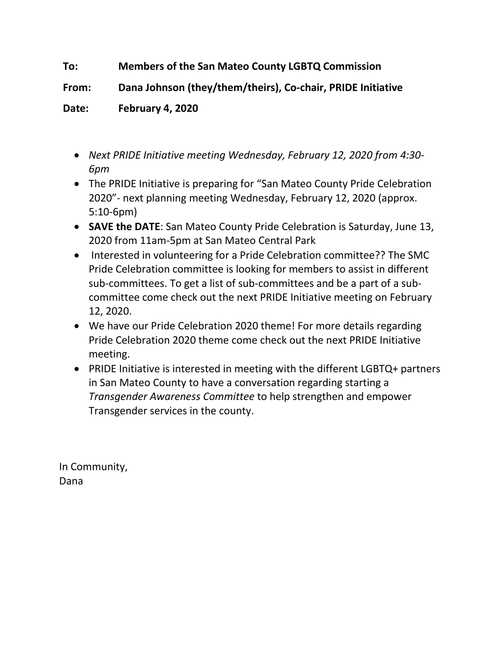### **To: Members of the San Mateo County LGBTQ Commission**

**From: Dana Johnson (they/them/theirs), Co-chair, PRIDE Initiative**

**Date: February 4, 2020**

- *Next PRIDE Initiative meeting Wednesday, February 12, 2020 from 4:30- 6pm*
- The PRIDE Initiative is preparing for "San Mateo County Pride Celebration 2020"- next planning meeting Wednesday, February 12, 2020 (approx. 5:10-6pm)
- **SAVE the DATE**: San Mateo County Pride Celebration is Saturday, June 13, 2020 from 11am-5pm at San Mateo Central Park
- Interested in volunteering for a Pride Celebration committee?? The SMC Pride Celebration committee is looking for members to assist in different sub-committees. To get a list of sub-committees and be a part of a subcommittee come check out the next PRIDE Initiative meeting on February 12, 2020.
- We have our Pride Celebration 2020 theme! For more details regarding Pride Celebration 2020 theme come check out the next PRIDE Initiative meeting.
- PRIDE Initiative is interested in meeting with the different LGBTQ+ partners in San Mateo County to have a conversation regarding starting a *Transgender Awareness Committee* to help strengthen and empower Transgender services in the county.

In Community, Dana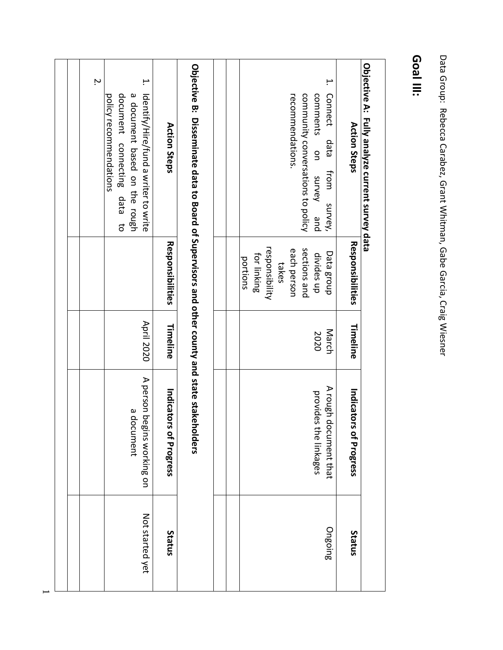|  | ŗ, | ب.<br>document connecting<br>a document based on the rough<br>policy recommendations<br>ldentify/Hire/fund a writer to write<br>data<br>$\vec{c}$ | Action Steps<br>Responsibilities | Objective B: Disseminate data to Board of Supervisors and other county and state stakeholders |  | ۳.<br>recommendations.<br>community conversations to policy<br>comments<br>Connect<br>data<br>g<br>from<br>survey<br>survey,<br>pue<br>responsibility<br>sections and<br>each person<br>Data group<br>divides up<br>for linking<br>portions<br>takes | Action Steps<br>Responsibilities | Objective A: Fully analyze current survey data |
|--|----|---------------------------------------------------------------------------------------------------------------------------------------------------|----------------------------------|-----------------------------------------------------------------------------------------------|--|------------------------------------------------------------------------------------------------------------------------------------------------------------------------------------------------------------------------------------------------------|----------------------------------|------------------------------------------------|
|  |    |                                                                                                                                                   |                                  |                                                                                               |  |                                                                                                                                                                                                                                                      |                                  |                                                |
|  |    | <b>April 2020</b>                                                                                                                                 | Timeline                         |                                                                                               |  | March<br>2020                                                                                                                                                                                                                                        | Timeline                         |                                                |
|  |    | A person beg<br>a document<br>gins working on                                                                                                     | Indicators of Progress           |                                                                                               |  | A rough do<br>provides<br>ocument that<br>the linkages                                                                                                                                                                                               | Indicators of Progress           |                                                |
|  |    | Not started yet                                                                                                                                   | Status                           |                                                                                               |  | Ongoing                                                                                                                                                                                                                                              | Status                           |                                                |

Data Group: Rebecca Carabez, Grant Whitman, Gabe Garcia, Craig Wiesner Data Group: Rebecca Carabez, Grant Whitman, Gabe Garcia, Craig Wiesner

### **Goal III:**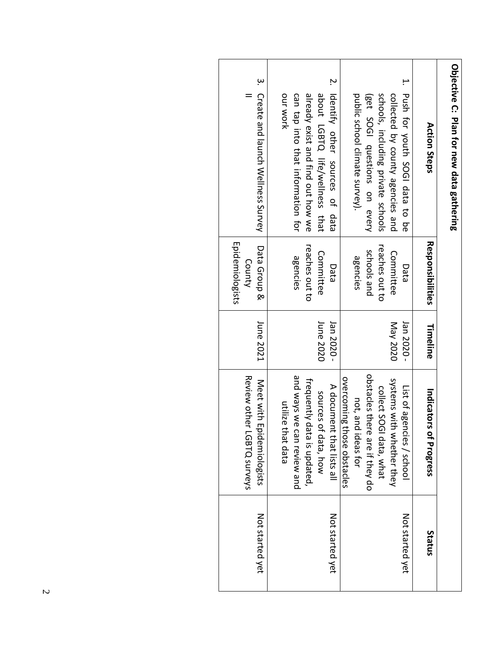| Objective C: Plan for new data gathering |                        |            |                                                                     |                 |
|------------------------------------------|------------------------|------------|---------------------------------------------------------------------|-----------------|
| Action Steps                             | Responsibilities       | Timeline   | Indicators of Progress                                              | Status          |
| 1. Push for youth SOGI data to be        | Data                   | Jan 2020 - | List of agencies / school                                           | Not started yet |
| collected by county agencies and         | Committee              | May 2020   | systems with whether they                                           |                 |
| schools, including private schools       | reaches out to         |            | collect SOGI data, what                                             |                 |
| (get SOGI questions on every             | schools and            |            | obstacles there are if they do                                      |                 |
| public school climate survey).           | agencies               |            | not, and ideas for                                                  |                 |
|                                          |                        |            | overcoming those obstacles                                          |                 |
| 2. Identify other sources of data        | Data                   | Jan 2020 - | A document that lists all                                           | Not started yet |
| about LGBTQ life/wellness that           | Committee              | June 2020  | sources of data, how                                                |                 |
| already exist and find out how we        | reaches out to         |            | frequently data is updated,                                         |                 |
| can tap into that information for        | agencies               |            | and ways we can review and                                          |                 |
| OUT WORK                                 |                        |            | utilize that data                                                   |                 |
| 3. Create and lanch Wellness Survey      | Data Group &<br>County | June 2021  | <b>Review other</b><br>Meet with Epidemiologists<br>r LGBTQ surveys | Not started yet |
|                                          | Epidemiologists        |            |                                                                     |                 |
|                                          |                        |            |                                                                     |                 |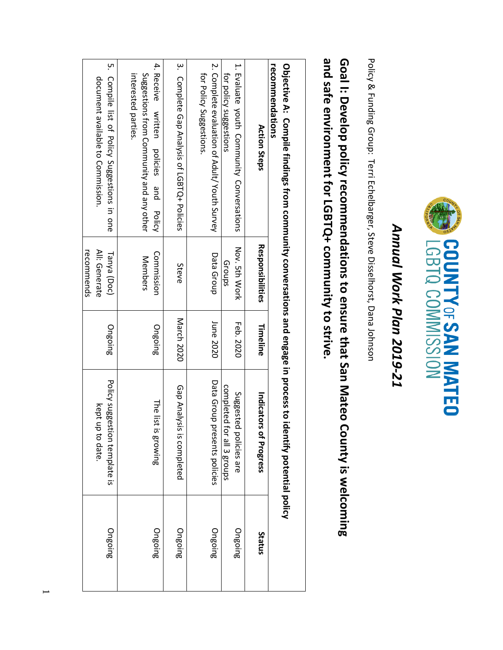

## Annual Work Plan 2019-21 *Annual Work Plan 2019-21*

Policy & Funding Group: Terri Echelbarger, Steve Disselhorst, Dana Johnson Policy & Funding Group: Terri Echelbarger, Steve Disselhorst, Dana Johnson

# and safe environment for LGBTQ+ community to strive. Goal I: Develop policy recommendations to ensure that San Mateo County is welcoming **and safe environment for LGBTQ+ community to strive. Goal I: Develop policy recommendations to ensure that San Mateo County is welcoming**

| 5. Compile list of Policy Suggestions in one<br>3. Complete Gap Analysis of LGBTQ+ Policies<br>4. Receive<br>2. Complete evaluation of Adult/Youth Survey<br>1. Evaluate youth Community Conversations<br>for Policy Suggestions<br>for policy suggestions<br>Suggestions from Community and any other<br>interested parties.<br>document available to Commission.<br>written<br><b>Action Steps</b><br>policies<br>pue<br><b>Policy</b><br>Responsibilities<br>Nov. 5th Work<br>All: Generate<br>Commission<br>Tanya (Doc)<br>Data Group<br>Members<br>Groups<br>Steve<br>March 2020<br>June 2020<br>Feb. 2020<br>Timeline<br>Ongoing<br>Ongoing<br>Policy suggestion template is<br>Data Group presents policies<br>completed for all 3 groups<br>Gap Analysis is completed<br>Suggested<br>Indicators<br>The list<br>kept up<br>is growing<br>of Progress<br>policies are<br>to date<br>Ongoing<br>Ongoing<br>Ongoing<br>Ongoing<br>Ongoing<br>Status | recommendations<br>Objective A: Compile findings from community conversations and engage in process to idential policy policy policy |            |  |  |
|----------------------------------------------------------------------------------------------------------------------------------------------------------------------------------------------------------------------------------------------------------------------------------------------------------------------------------------------------------------------------------------------------------------------------------------------------------------------------------------------------------------------------------------------------------------------------------------------------------------------------------------------------------------------------------------------------------------------------------------------------------------------------------------------------------------------------------------------------------------------------------------------------------------------------------------------------------|--------------------------------------------------------------------------------------------------------------------------------------|------------|--|--|
|                                                                                                                                                                                                                                                                                                                                                                                                                                                                                                                                                                                                                                                                                                                                                                                                                                                                                                                                                          |                                                                                                                                      |            |  |  |
|                                                                                                                                                                                                                                                                                                                                                                                                                                                                                                                                                                                                                                                                                                                                                                                                                                                                                                                                                          |                                                                                                                                      |            |  |  |
|                                                                                                                                                                                                                                                                                                                                                                                                                                                                                                                                                                                                                                                                                                                                                                                                                                                                                                                                                          |                                                                                                                                      |            |  |  |
|                                                                                                                                                                                                                                                                                                                                                                                                                                                                                                                                                                                                                                                                                                                                                                                                                                                                                                                                                          |                                                                                                                                      |            |  |  |
|                                                                                                                                                                                                                                                                                                                                                                                                                                                                                                                                                                                                                                                                                                                                                                                                                                                                                                                                                          |                                                                                                                                      |            |  |  |
|                                                                                                                                                                                                                                                                                                                                                                                                                                                                                                                                                                                                                                                                                                                                                                                                                                                                                                                                                          |                                                                                                                                      | recommends |  |  |

 $\overline{\phantom{0}}$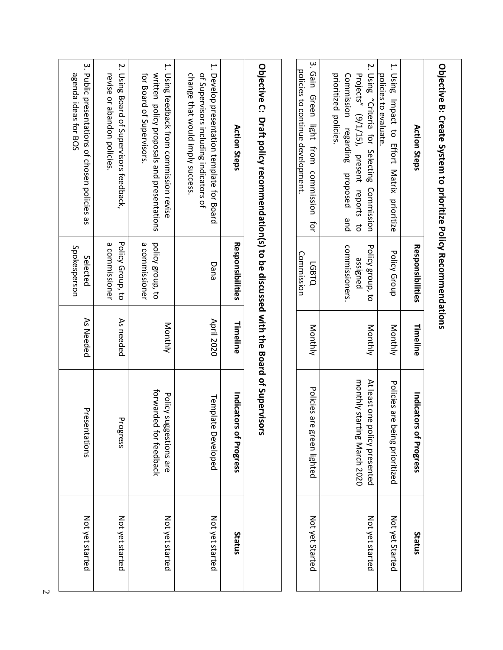| Objective B: Create System to prioritize Policy Recommendations                                                         |                                    |                   |                                                              |                 |
|-------------------------------------------------------------------------------------------------------------------------|------------------------------------|-------------------|--------------------------------------------------------------|-----------------|
| <b>Action Steps</b>                                                                                                     | Responsibilities                   | Timeline          | Indicators<br>of Progress                                    | Status          |
| 1. Using Impact to Effort Matrix prioritize<br>policies to evaluate                                                     | <b>Policy Group</b>                | Monthly           | Policies are b<br>eing prioritized                           | Not yet Started |
| 2. Using "Criteria for Selecting<br>Projects" (9/1/15), present reports<br>Commission<br>đ                              | Policy group, to<br>assigned       | Monthly           | monthly starting March 2020<br>At least one policy presented | Not yet started |
| prioritized policies<br>Commission regarding<br>proposed<br>and                                                         | commissioners                      |                   |                                                              |                 |
| 3. Gain<br>policies to continue development.<br>Green<br>light<br>from<br>commission<br>ţ                               | Commission<br><b>LGBTQ</b>         | Monthly           | Policies are<br>green lighted                                | Not yet Started |
|                                                                                                                         |                                    |                   |                                                              |                 |
| Opietrise C: Draft policy recommendation(s) to be discussed with the Board of Supervisors                               |                                    |                   |                                                              |                 |
| <b>Action Steps</b>                                                                                                     | Responsibilities                   | Timeline          | Indicators<br>of Progress                                    | Status          |
| 1. Develop presentation template for Board<br>change that would imply success<br>of Supervisors including indicators of | Dana                               | <b>April 2020</b> | Template<br>Developed                                        | Not yet started |
| 1. Using feedback from commission revise<br>for Board of Supervisors<br>written policy proposals and presentations      | a commissioner<br>policy group, to | <b>Monthly</b>    | forwarded<br>Policy suggestions are<br>for feedback          | Not yet started |
| 2. Using Board of Supervisors feedback,<br>revise or abandon policies                                                   | Policy Group, to<br>a commissioner | As needed         | Progress                                                     | Not yet started |
| 3. Public presentations of chosen policies as<br>agenda ideas for BOS                                                   | Spokesperson<br>Selected           | As Needed         | Presentations                                                | Not yet started |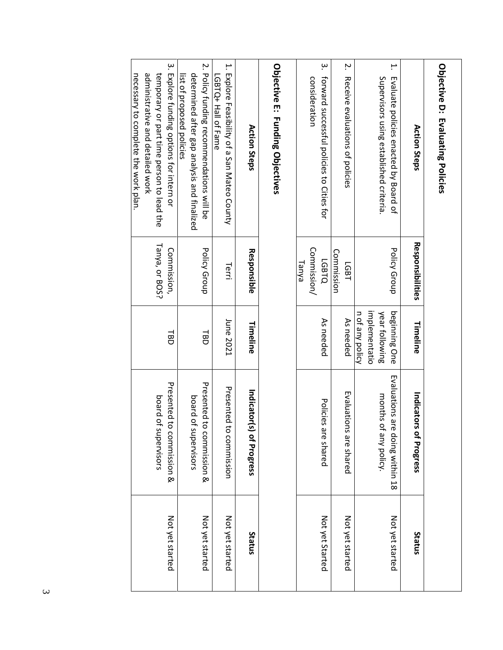| Objective D: Evaluating Policies                                                                                                                                  |                                      |                                                                     |                                                          |                 |
|-------------------------------------------------------------------------------------------------------------------------------------------------------------------|--------------------------------------|---------------------------------------------------------------------|----------------------------------------------------------|-----------------|
| <b>Action Steps</b>                                                                                                                                               | Responsibilities                     | Timeline                                                            | Indicators<br>of Progress                                | Status          |
| H.<br>Supervisors using established criteria.<br>Evaluate policies enacted by Board of                                                                            | <b>Policy Group</b>                  | implementatio<br>beginning One<br>n of any policy<br>year following | Evaluations are doing within 18<br>months of any policy. | Not yet started |
| Ņ.<br>Receive evaluations of policies                                                                                                                             | Commission<br>LGB1                   | As needed                                                           | Evaluations are shared                                   | Not yet started |
| $\dot{\mathbf{e}}$<br>forward successful policies to Cities for<br>consideration                                                                                  | Commission/<br><b>LGBTQ</b><br>Tanya | As needed                                                           | Policies<br>are shared                                   | Not yet Started |
| Objective E: Funding Objectives                                                                                                                                   |                                      |                                                                     |                                                          |                 |
| <b>Action Steps</b>                                                                                                                                               | Responsible                          | Timeline                                                            | Indicator(s) of Progress                                 | Status          |
| 1. Explore Feasibility of a San Mateo County<br>LGBTQ+ Hall of Fame                                                                                               | Terri                                | June 2021                                                           | Presented<br>to commission                               | Not yet started |
| 2. Policy funding recommendations will be<br>determined after gap analysis and finalized<br>list of proposed policies                                             | bolicy Group                         | 品                                                                   | Presented to commission &<br>board of<br>supervisors     | Not yet started |
| 3. Explore funding options for intern or<br>administrative and detailed work<br>necessary to complete the work plan.<br>temporary or part time person to lead the | Tanya, or BOS?<br>Commission,        | 恴                                                                   | Presented to commission &<br>board of<br>supervisors     | Not yet started |
|                                                                                                                                                                   |                                      |                                                                     |                                                          |                 |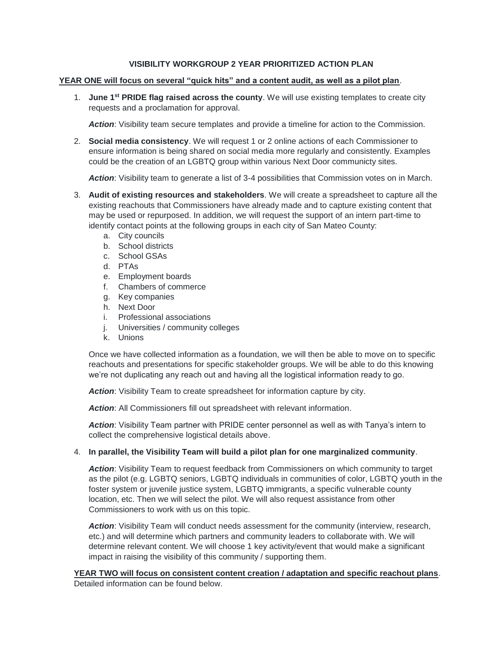### **VISIBILITY WORKGROUP 2 YEAR PRIORITIZED ACTION PLAN**

### **YEAR ONE will focus on several "quick hits" and a content audit, as well as a pilot plan**.

1. **June 1st PRIDE flag raised across the county**. We will use existing templates to create city requests and a proclamation for approval.

Action: Visibility team secure templates and provide a timeline for action to the Commission.

2. **Social media consistency**. We will request 1 or 2 online actions of each Commissioner to ensure information is being shared on social media more regularly and consistently. Examples could be the creation of an LGBTQ group within various Next Door communicty sites.

*Action*: Visibility team to generate a list of 3-4 possibilities that Commission votes on in March.

- 3. **Audit of existing resources and stakeholders**. We will create a spreadsheet to capture all the existing reachouts that Commissioners have already made and to capture existing content that may be used or repurposed. In addition, we will request the support of an intern part-time to identify contact points at the following groups in each city of San Mateo County:
	- a. City councils
	- b. School districts
	- c. School GSAs
	- d. PTAs
	- e. Employment boards
	- f. Chambers of commerce
	- g. Key companies
	- h. Next Door
	- i. Professional associations
	- j. Universities / community colleges
	- k. Unions

Once we have collected information as a foundation, we will then be able to move on to specific reachouts and presentations for specific stakeholder groups. We will be able to do this knowing we're not duplicating any reach out and having all the logistical information ready to go.

*Action*: Visibility Team to create spreadsheet for information capture by city.

*Action*: All Commissioners fill out spreadsheet with relevant information.

*Action*: Visibility Team partner with PRIDE center personnel as well as with Tanya's intern to collect the comprehensive logistical details above.

### 4. **In parallel, the Visibility Team will build a pilot plan for one marginalized community**.

*Action*: Visibility Team to request feedback from Commissioners on which community to target as the pilot (e.g. LGBTQ seniors, LGBTQ individuals in communities of color, LGBTQ youth in the foster system or juvenile justice system, LGBTQ immigrants, a specific vulnerable county location, etc. Then we will select the pilot. We will also request assistance from other Commissioners to work with us on this topic.

Action: Visibility Team will conduct needs assessment for the community (interview, research, etc.) and will determine which partners and community leaders to collaborate with. We will determine relevant content. We will choose 1 key activity/event that would make a significant impact in raising the visibility of this community / supporting them.

**YEAR TWO will focus on consistent content creation / adaptation and specific reachout plans**. Detailed information can be found below.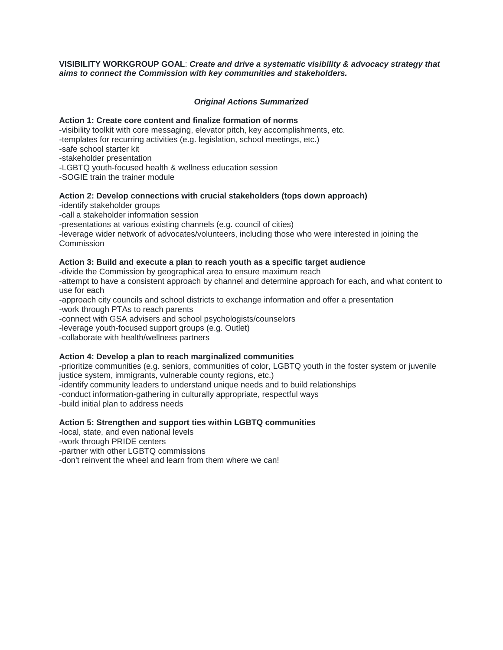### **VISIBILITY WORKGROUP GOAL**: *Create and drive a systematic visibility & advocacy strategy that aims to connect the Commission with key communities and stakeholders.*

### *Original Actions Summarized*

### **Action 1: Create core content and finalize formation of norms**

-visibility toolkit with core messaging, elevator pitch, key accomplishments, etc.

-templates for recurring activities (e.g. legislation, school meetings, etc.)

-safe school starter kit

-stakeholder presentation

-LGBTQ youth-focused health & wellness education session

-SOGIE train the trainer module

### **Action 2: Develop connections with crucial stakeholders (tops down approach)**

-identify stakeholder groups

-call a stakeholder information session

-presentations at various existing channels (e.g. council of cities)

-leverage wider network of advocates/volunteers, including those who were interested in joining the **Commission** 

### **Action 3: Build and execute a plan to reach youth as a specific target audience**

-divide the Commission by geographical area to ensure maximum reach

-attempt to have a consistent approach by channel and determine approach for each, and what content to use for each

-approach city councils and school districts to exchange information and offer a presentation -work through PTAs to reach parents

-connect with GSA advisers and school psychologists/counselors

-leverage youth-focused support groups (e.g. Outlet)

-collaborate with health/wellness partners

### **Action 4: Develop a plan to reach marginalized communities**

-prioritize communities (e.g. seniors, communities of color, LGBTQ youth in the foster system or juvenile justice system, immigrants, vulnerable county regions, etc.) -identify community leaders to understand unique needs and to build relationships -conduct information-gathering in culturally appropriate, respectful ways -build initial plan to address needs

### **Action 5: Strengthen and support ties within LGBTQ communities**

-local, state, and even national levels

-work through PRIDE centers

-partner with other LGBTQ commissions

-don't reinvent the wheel and learn from them where we can!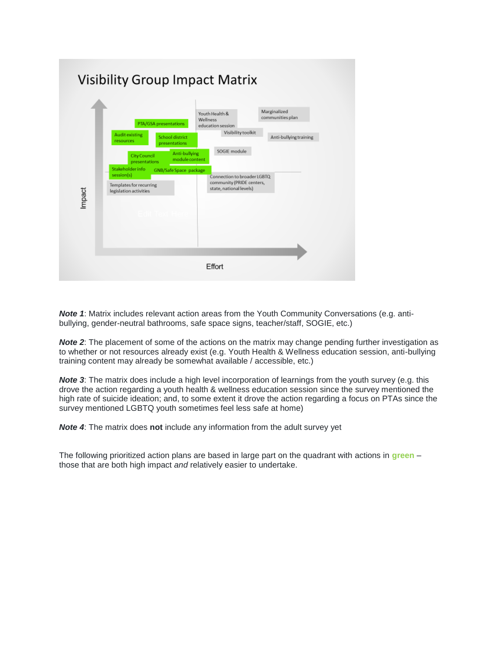

**Note 1:** Matrix includes relevant action areas from the Youth Community Conversations (e.g. antibullying, gender-neutral bathrooms, safe space signs, teacher/staff, SOGIE, etc.)

**Note 2:** The placement of some of the actions on the matrix may change pending further investigation as to whether or not resources already exist (e.g. Youth Health & Wellness education session, anti-bullying training content may already be somewhat available / accessible, etc.)

*Note 3*: The matrix does include a high level incorporation of learnings from the youth survey (e.g. this drove the action regarding a youth health & wellness education session since the survey mentioned the high rate of suicide ideation; and, to some extent it drove the action regarding a focus on PTAs since the survey mentioned LGBTQ youth sometimes feel less safe at home)

*Note 4*: The matrix does **not** include any information from the adult survey yet

The following prioritized action plans are based in large part on the quadrant with actions in **green** – those that are both high impact *and* relatively easier to undertake.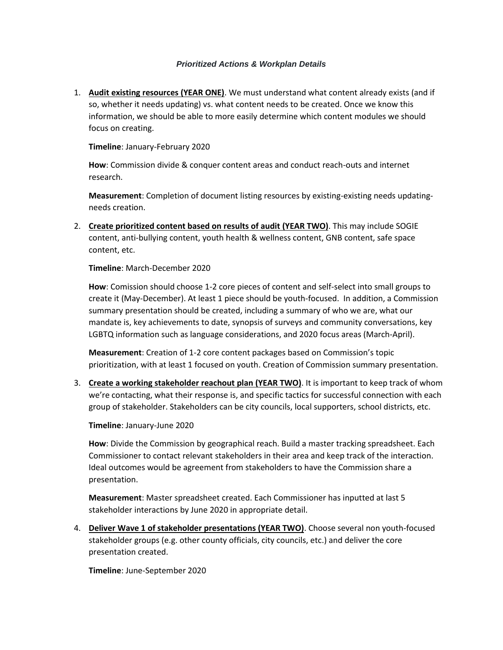### *Prioritized Actions & Workplan Details*

1. **Audit existing resources (YEAR ONE)**. We must understand what content already exists (and if so, whether it needs updating) vs. what content needs to be created. Once we know this information, we should be able to more easily determine which content modules we should focus on creating.

**Timeline**: January-February 2020

**How**: Commission divide & conquer content areas and conduct reach-outs and internet research.

**Measurement**: Completion of document listing resources by existing-existing needs updatingneeds creation.

2. **Create prioritized content based on results of audit (YEAR TWO)**. This may include SOGIE content, anti-bullying content, youth health & wellness content, GNB content, safe space content, etc.

**Timeline**: March-December 2020

**How**: Comission should choose 1-2 core pieces of content and self-select into small groups to create it (May-December). At least 1 piece should be youth-focused. In addition, a Commission summary presentation should be created, including a summary of who we are, what our mandate is, key achievements to date, synopsis of surveys and community conversations, key LGBTQ information such as language considerations, and 2020 focus areas (March-April).

**Measurement**: Creation of 1-2 core content packages based on Commission's topic prioritization, with at least 1 focused on youth. Creation of Commission summary presentation.

3. **Create a working stakeholder reachout plan (YEAR TWO)**. It is important to keep track of whom we're contacting, what their response is, and specific tactics for successful connection with each group of stakeholder. Stakeholders can be city councils, local supporters, school districts, etc.

**Timeline**: January-June 2020

**How**: Divide the Commission by geographical reach. Build a master tracking spreadsheet. Each Commissioner to contact relevant stakeholders in their area and keep track of the interaction. Ideal outcomes would be agreement from stakeholders to have the Commission share a presentation.

**Measurement**: Master spreadsheet created. Each Commissioner has inputted at last 5 stakeholder interactions by June 2020 in appropriate detail.

4. **Deliver Wave 1 of stakeholder presentations (YEAR TWO)**. Choose several non youth-focused stakeholder groups (e.g. other county officials, city councils, etc.) and deliver the core presentation created.

**Timeline**: June-September 2020